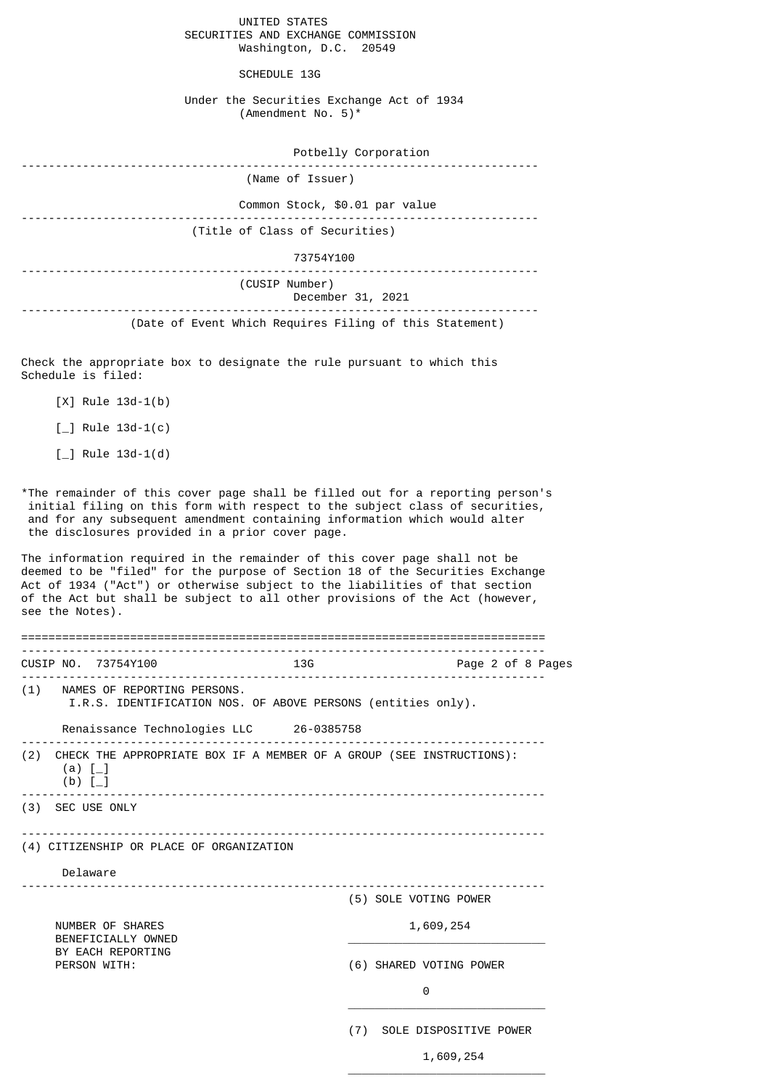UNITED STATES SECURITIES AND EXCHANGE COMMISSION Washington, D.C. 20549

SCHEDULE 13G

Under the Securities Exchange Act of 1934 (Amendment No. 5)\*

| Potbelly Corporation                                    |  |  |
|---------------------------------------------------------|--|--|
| (Name of Issuer)                                        |  |  |
| Common Stock, \$0.01 par value                          |  |  |
| (Title of Class of Securities)                          |  |  |
| 73754Y100                                               |  |  |
| (CUSIP Number)<br>December 31, 2021                     |  |  |
| (Date of Event Which Requires Filing of this Statement) |  |  |

Check the appropriate box to designate the rule pursuant to which this Schedule is filed:

[X] Rule 13d-1(b)

 $[\_]$  Rule 13d-1(c)

 $[-]$  Rule 13d-1(d)

\*The remainder of this cover page shall be filled out for a reporting person's initial filing on this form with respect to the subject class of securities, and for any subsequent amendment containing information which would alter the disclosures provided in a prior cover page.

The information required in the remainder of this cover page shall not be deemed to be "filed" for the purpose of Section 18 of the Securities Exchange Act of 1934 ("Act") or otherwise subject to the liabilities of that section of the Act but shall be subject to all other provisions of the Act (however, see the Notes).

|                                          | CUSIP NO. 73754Y100                                                         | 136                                                                      | Page 2 of 8 Pages       |  |
|------------------------------------------|-----------------------------------------------------------------------------|--------------------------------------------------------------------------|-------------------------|--|
|                                          | (1) NAMES OF REPORTING PERSONS.                                             | I.R.S. IDENTIFICATION NOS. OF ABOVE PERSONS (entities only).             |                         |  |
|                                          |                                                                             | Renaissance Technologies LLC 26-0385758                                  |                         |  |
|                                          | (a) $[-]$<br>(b) $[-]$                                                      | (2) CHECK THE APPROPRIATE BOX IF A MEMBER OF A GROUP (SEE INSTRUCTIONS): |                         |  |
|                                          | (3) SEC USE ONLY                                                            |                                                                          |                         |  |
| (4) CITIZENSHIP OR PLACE OF ORGANIZATION |                                                                             |                                                                          |                         |  |
|                                          | Delaware                                                                    |                                                                          |                         |  |
|                                          |                                                                             |                                                                          | (5) SOLE VOTING POWER   |  |
|                                          | NUMBER OF SHARES<br>BENEFICIALLY OWNED<br>BY EACH REPORTING<br>PERSON WITH: |                                                                          | 1,609,254               |  |
|                                          |                                                                             |                                                                          | (6) SHARED VOTING POWER |  |
|                                          |                                                                             |                                                                          | 0                       |  |
|                                          |                                                                             | (7)                                                                      | SOLE DISPOSITIVE POWER  |  |

 $\overline{\phantom{a}}$  , and the state of the state of the state of the state of the state of the state of the state of the state of the state of the state of the state of the state of the state of the state of the state of the stat

1,609,254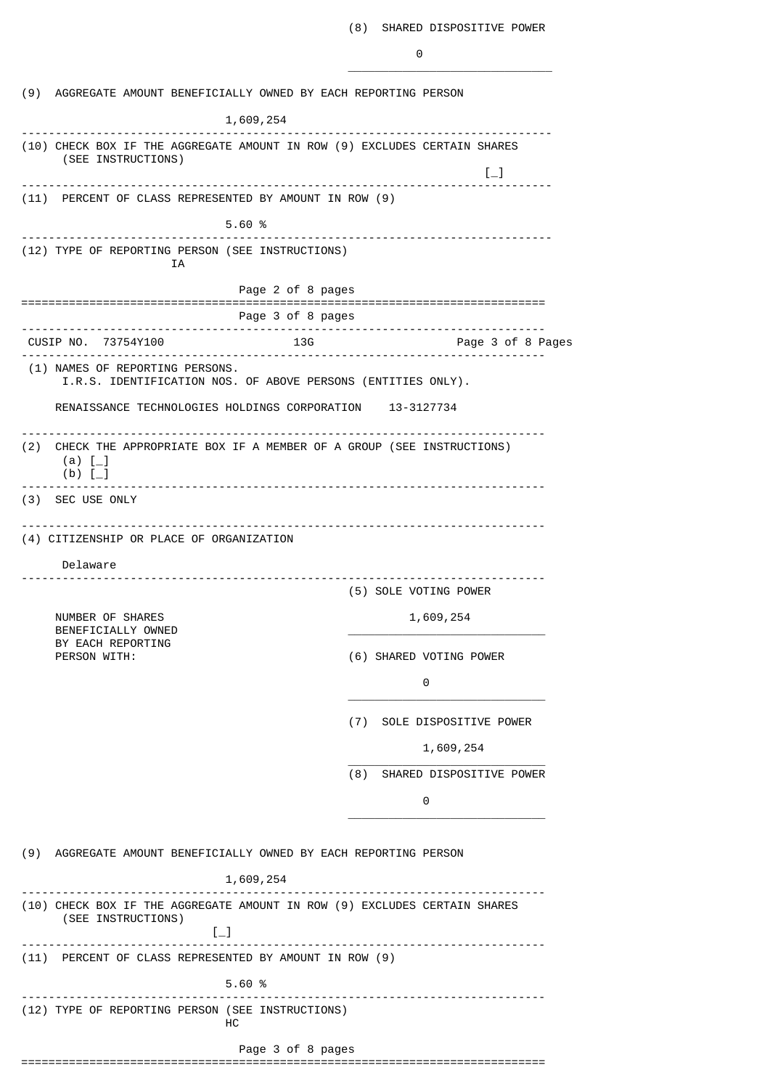|     | (9) AGGREGATE AMOUNT BENEFICIALLY OWNED BY EACH REPORTING PERSON                                                                                           |                   |                                                         |
|-----|------------------------------------------------------------------------------------------------------------------------------------------------------------|-------------------|---------------------------------------------------------|
|     | 1,609,254                                                                                                                                                  |                   |                                                         |
|     | (10) CHECK BOX IF THE AGGREGATE AMOUNT IN ROW (9) EXCLUDES CERTAIN SHARES<br>(SEE INSTRUCTIONS)                                                            |                   | $\left[\begin{smallmatrix}1\\1\end{smallmatrix}\right]$ |
|     | (11) PERCENT OF CLASS REPRESENTED BY AMOUNT IN ROW (9)                                                                                                     |                   |                                                         |
|     | 5.60 %                                                                                                                                                     |                   |                                                         |
|     | ----------------------------------<br>(12) TYPE OF REPORTING PERSON (SEE INSTRUCTIONS)                                                                     |                   |                                                         |
|     | ΙA                                                                                                                                                         |                   |                                                         |
|     |                                                                                                                                                            | Page 2 of 8 pages |                                                         |
|     |                                                                                                                                                            | Page 3 of 8 pages | -------------------------                               |
|     | CUSIP NO. 73754Y100                                                                                                                                        | 13G               | Page 3 of 8 Pages                                       |
|     | (1) NAMES OF REPORTING PERSONS.<br>I.R.S. IDENTIFICATION NOS. OF ABOVE PERSONS (ENTITIES ONLY).                                                            |                   |                                                         |
|     | RENAISSANCE TECHNOLOGIES HOLDINGS CORPORATION 13-3127734                                                                                                   |                   |                                                         |
| (2) | CHECK THE APPROPRIATE BOX IF A MEMBER OF A GROUP (SEE INSTRUCTIONS)<br>(a) $[-]$<br>$(b)$ [                                                                |                   |                                                         |
|     | (3) SEC USE ONLY                                                                                                                                           |                   |                                                         |
|     |                                                                                                                                                            |                   |                                                         |
|     | (4) CITIZENSHIP OR PLACE OF ORGANIZATION                                                                                                                   |                   |                                                         |
|     | Delaware                                                                                                                                                   |                   |                                                         |
|     |                                                                                                                                                            |                   | (5) SOLE VOTING POWER                                   |
|     | NUMBER OF SHARES<br>BENEFICIALLY OWNED<br>BY EACH REPORTING<br>PERSON WITH:                                                                                |                   | 1,609,254                                               |
|     |                                                                                                                                                            |                   | (6) SHARED VOTING POWER                                 |
|     |                                                                                                                                                            |                   | 0                                                       |
|     |                                                                                                                                                            |                   | (7) SOLE DISPOSITIVE POWER                              |
|     |                                                                                                                                                            |                   | 1,609,254                                               |
|     |                                                                                                                                                            | (8)               | SHARED DISPOSITIVE POWER                                |
|     |                                                                                                                                                            |                   | 0                                                       |
|     |                                                                                                                                                            |                   |                                                         |
|     | (9) AGGREGATE AMOUNT BENEFICIALLY OWNED BY EACH REPORTING PERSON                                                                                           |                   |                                                         |
|     | 1,609,254                                                                                                                                                  |                   |                                                         |
|     | (10) CHECK BOX IF THE AGGREGATE AMOUNT IN ROW (9) EXCLUDES CERTAIN SHARES<br>(SEE INSTRUCTIONS)<br>$\left[\begin{smallmatrix}1\\1\end{smallmatrix}\right]$ |                   |                                                         |
|     | ---------------------<br>(11) PERCENT OF CLASS REPRESENTED BY AMOUNT IN ROW (9)                                                                            |                   |                                                         |
|     | 5.60 %                                                                                                                                                     |                   |                                                         |
|     | (12) TYPE OF REPORTING PERSON (SEE INSTRUCTIONS)<br>HС                                                                                                     |                   |                                                         |
|     |                                                                                                                                                            | Page 3 of 8 pages |                                                         |
|     |                                                                                                                                                            |                   |                                                         |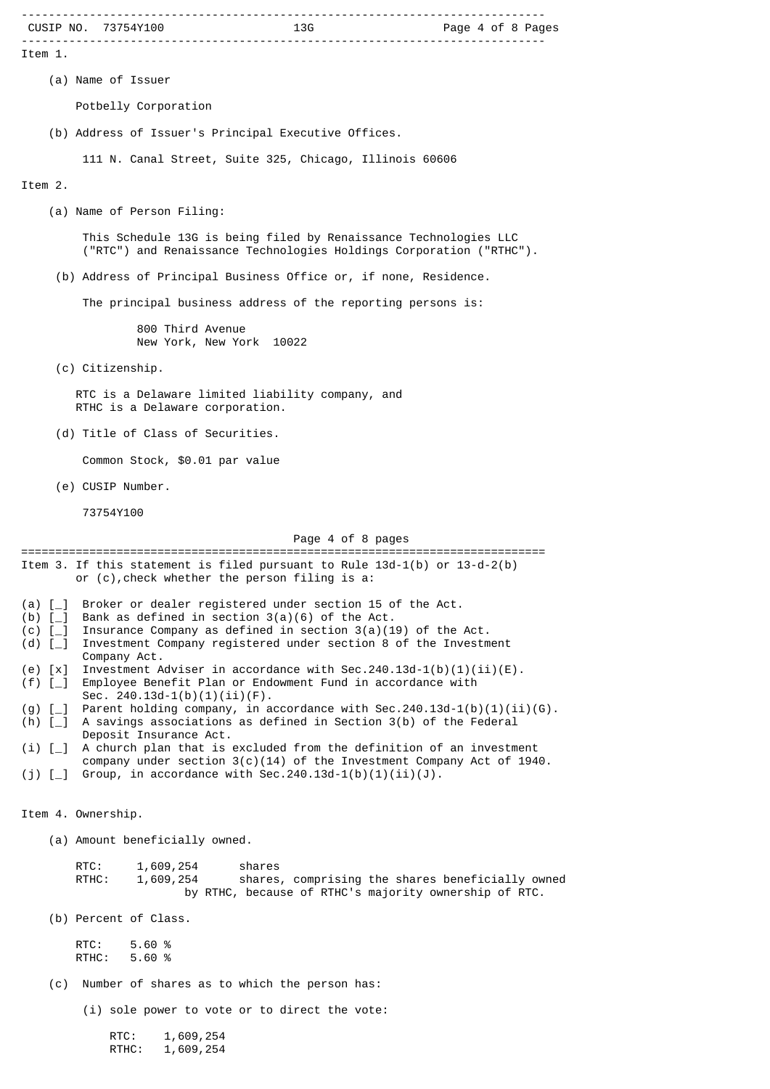|                                     | CUSIP NO. 73754Y100                                                                                                                                            |
|-------------------------------------|----------------------------------------------------------------------------------------------------------------------------------------------------------------|
| Item 1.                             |                                                                                                                                                                |
|                                     | (a) Name of Issuer                                                                                                                                             |
|                                     | Potbelly Corporation                                                                                                                                           |
|                                     | (b) Address of Issuer's Principal Executive Offices.                                                                                                           |
|                                     | 111 N. Canal Street, Suite 325, Chicago, Illinois 60606                                                                                                        |
| Item 2.                             |                                                                                                                                                                |
|                                     | (a) Name of Person Filing:                                                                                                                                     |
|                                     | This Schedule 13G is being filed by Renaissance Technologies LLC<br>("RTC") and Renaissance Technologies Holdings Corporation ("RTHC").                        |
|                                     | (b) Address of Principal Business Office or, if none, Residence.                                                                                               |
|                                     | The principal business address of the reporting persons is:                                                                                                    |
|                                     | 800 Third Avenue<br>New York, New York 10022                                                                                                                   |
|                                     | (c) Citizenship.                                                                                                                                               |
|                                     | RTC is a Delaware limited liability company, and<br>RTHC is a Delaware corporation.                                                                            |
|                                     | (d) Title of Class of Securities.                                                                                                                              |
|                                     | Common Stock, \$0.01 par value                                                                                                                                 |
|                                     | (e) CUSIP Number.                                                                                                                                              |
|                                     | 73754Y100                                                                                                                                                      |
|                                     | Page 4 of 8 pages                                                                                                                                              |
|                                     | =======================<br>Item 3. If this statement is filed pursuant to Rule 13d-1(b) or 13-d-2(b)<br>or (c), check whether the person filing is a:          |
| (a) $[-]$                           | Broker or dealer registered under section 15 of the Act.<br>Bank as defined in section $3(a)(6)$ of the Act.                                                   |
| (b) $[-]$<br>$(c)$ [_]<br>(d) $[-]$ | Insurance Company as defined in section $3(a)(19)$ of the Act.<br>Investment Company registered under section 8 of the Investment                              |
| $(e)$ $[x]$                         | Company Act.<br>Investment Adviser in accordance with Sec. 240.13d-1(b)(1)(ii)(E).                                                                             |
| $(f)$ [_]                           | Employee Benefit Plan or Endowment Fund in accordance with<br>Sec. $240.13d-1(b)(1)(ii)(F)$ .                                                                  |
| $(g)$ [_]<br>(h) $[-]$              | Parent holding company, in accordance with Sec. 240.13d-1(b)(1)(ii)(G).<br>A savings associations as defined in Section 3(b) of the Federal                    |
| (i) [                               | Deposit Insurance Act.<br>A church plan that is excluded from the definition of an investment                                                                  |
| (j) [_]                             | company under section $3(c)(14)$ of the Investment Company Act of 1940.<br>Group, in accordance with Sec. 240.13d-1(b)(1)(ii)(J).                              |
|                                     | Item 4. Ownership.                                                                                                                                             |
|                                     | (a) Amount beneficially owned.                                                                                                                                 |
|                                     | RTC:<br>1,609,254<br>shares<br>RTHC:<br>shares, comprising the shares beneficially owned<br>1,609,254<br>by RTHC, because of RTHC's majority ownership of RTC. |
|                                     | (b) Percent of Class.                                                                                                                                          |
|                                     | RTC:<br>5.60 %<br>RTHC:<br>5.60 %                                                                                                                              |
| (c)                                 | Number of shares as to which the person has:                                                                                                                   |
|                                     | (i) sole power to vote or to direct the vote:                                                                                                                  |
|                                     | RTC:<br>1,609,254<br>1,609,254<br>RTHC:                                                                                                                        |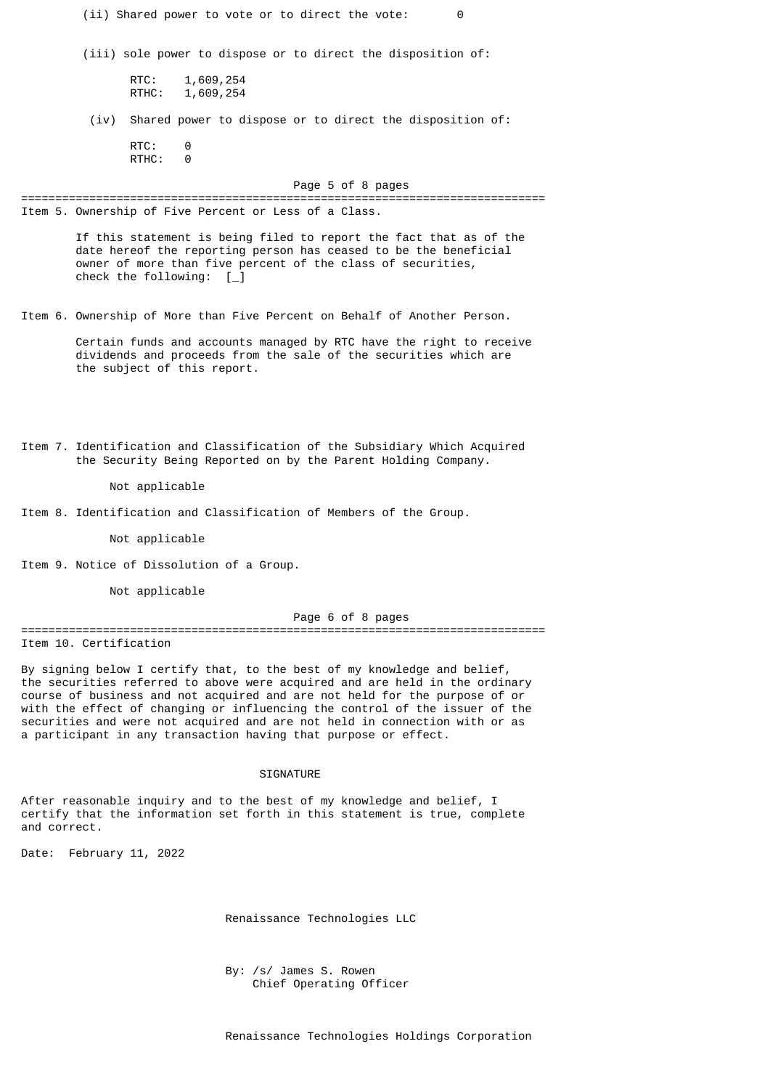| (ii) Shared power to vote or to direct the vote:<br>0                                                                                                                                                                                                                                                                                                                                                                                                                 |  |  |  |  |
|-----------------------------------------------------------------------------------------------------------------------------------------------------------------------------------------------------------------------------------------------------------------------------------------------------------------------------------------------------------------------------------------------------------------------------------------------------------------------|--|--|--|--|
| (iii) sole power to dispose or to direct the disposition of:                                                                                                                                                                                                                                                                                                                                                                                                          |  |  |  |  |
| RTC:<br>1,609,254<br>RTHC:<br>1,609,254                                                                                                                                                                                                                                                                                                                                                                                                                               |  |  |  |  |
| Shared power to dispose or to direct the disposition of:<br>(iv)                                                                                                                                                                                                                                                                                                                                                                                                      |  |  |  |  |
| RTC:<br>0<br>RTHC:<br>0                                                                                                                                                                                                                                                                                                                                                                                                                                               |  |  |  |  |
| Page 5 of 8 pages<br>======                                                                                                                                                                                                                                                                                                                                                                                                                                           |  |  |  |  |
| Item 5. Ownership of Five Percent or Less of a Class.                                                                                                                                                                                                                                                                                                                                                                                                                 |  |  |  |  |
| If this statement is being filed to report the fact that as of the<br>date hereof the reporting person has ceased to be the beneficial<br>owner of more than five percent of the class of securities,<br>check the following: $[\ ]$                                                                                                                                                                                                                                  |  |  |  |  |
| Item 6. Ownership of More than Five Percent on Behalf of Another Person.                                                                                                                                                                                                                                                                                                                                                                                              |  |  |  |  |
| Certain funds and accounts managed by RTC have the right to receive<br>dividends and proceeds from the sale of the securities which are<br>the subject of this report.                                                                                                                                                                                                                                                                                                |  |  |  |  |
| Item 7. Identification and Classification of the Subsidiary Which Acquired<br>the Security Being Reported on by the Parent Holding Company.<br>Not applicable                                                                                                                                                                                                                                                                                                         |  |  |  |  |
| Item 8. Identification and Classification of Members of the Group.                                                                                                                                                                                                                                                                                                                                                                                                    |  |  |  |  |
| Not applicable                                                                                                                                                                                                                                                                                                                                                                                                                                                        |  |  |  |  |
| Item 9. Notice of Dissolution of a Group.                                                                                                                                                                                                                                                                                                                                                                                                                             |  |  |  |  |
| Not applicable                                                                                                                                                                                                                                                                                                                                                                                                                                                        |  |  |  |  |
| Page 6 of 8 pages                                                                                                                                                                                                                                                                                                                                                                                                                                                     |  |  |  |  |
| Item 10. Certification                                                                                                                                                                                                                                                                                                                                                                                                                                                |  |  |  |  |
| By signing below I certify that, to the best of my knowledge and belief,<br>the securities referred to above were acquired and are held in the ordinary<br>course of business and not acquired and are not held for the purpose of or<br>with the effect of changing or influencing the control of the issuer of the<br>securities and were not acquired and are not held in connection with or as<br>a participant in any transaction having that purpose or effect. |  |  |  |  |
| SIGNATURE                                                                                                                                                                                                                                                                                                                                                                                                                                                             |  |  |  |  |
| After reasonable inquiry and to the best of my knowledge and belief, I<br>certify that the information set forth in this statement is true, complete<br>and correct.                                                                                                                                                                                                                                                                                                  |  |  |  |  |

Date: February 11, 2022

Renaissance Technologies LLC

 By: /s/ James S. Rowen Chief Operating Officer